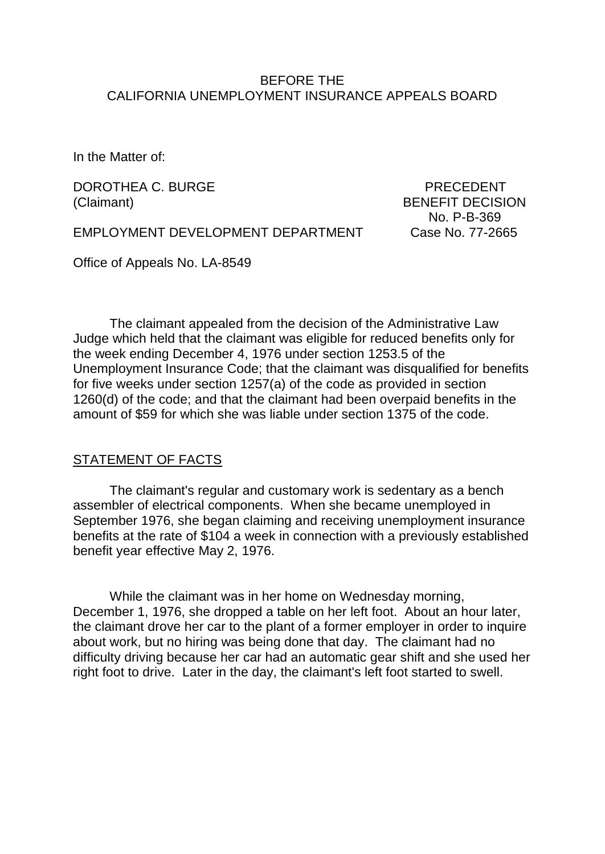### BEFORE THE CALIFORNIA UNEMPLOYMENT INSURANCE APPEALS BOARD

In the Matter of:

DOROTHEA C. BURGE PRECEDENT (Claimant) BENEFIT DECISION

No. P-B-369

EMPLOYMENT DEVELOPMENT DEPARTMENT Case No. 77-2665

Office of Appeals No. LA-8549

The claimant appealed from the decision of the Administrative Law Judge which held that the claimant was eligible for reduced benefits only for the week ending December 4, 1976 under section 1253.5 of the Unemployment Insurance Code; that the claimant was disqualified for benefits for five weeks under section 1257(a) of the code as provided in section 1260(d) of the code; and that the claimant had been overpaid benefits in the amount of \$59 for which she was liable under section 1375 of the code.

#### STATEMENT OF FACTS

The claimant's regular and customary work is sedentary as a bench assembler of electrical components. When she became unemployed in September 1976, she began claiming and receiving unemployment insurance benefits at the rate of \$104 a week in connection with a previously established benefit year effective May 2, 1976.

While the claimant was in her home on Wednesday morning, December 1, 1976, she dropped a table on her left foot. About an hour later, the claimant drove her car to the plant of a former employer in order to inquire about work, but no hiring was being done that day. The claimant had no difficulty driving because her car had an automatic gear shift and she used her right foot to drive. Later in the day, the claimant's left foot started to swell.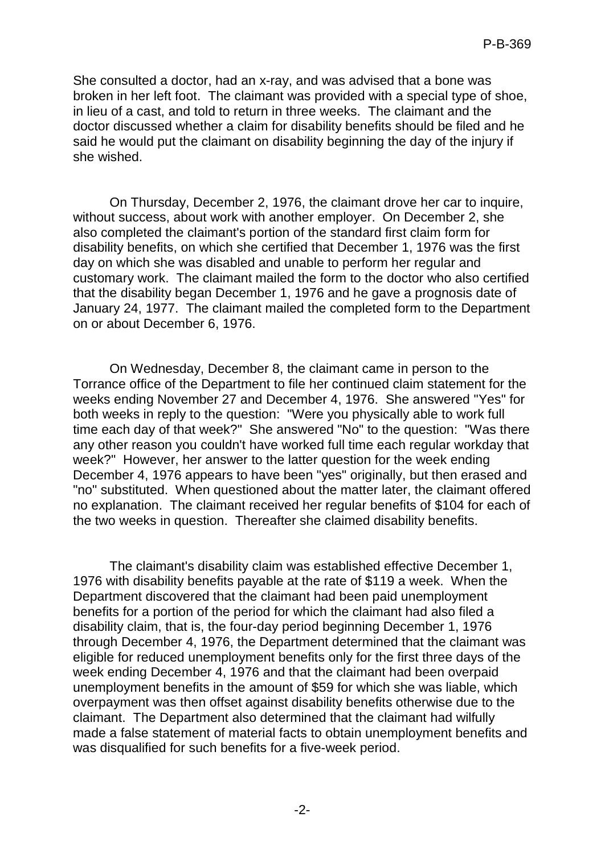She consulted a doctor, had an x-ray, and was advised that a bone was broken in her left foot. The claimant was provided with a special type of shoe, in lieu of a cast, and told to return in three weeks. The claimant and the doctor discussed whether a claim for disability benefits should be filed and he said he would put the claimant on disability beginning the day of the injury if she wished.

On Thursday, December 2, 1976, the claimant drove her car to inquire, without success, about work with another employer. On December 2, she also completed the claimant's portion of the standard first claim form for disability benefits, on which she certified that December 1, 1976 was the first day on which she was disabled and unable to perform her regular and customary work. The claimant mailed the form to the doctor who also certified that the disability began December 1, 1976 and he gave a prognosis date of January 24, 1977. The claimant mailed the completed form to the Department on or about December 6, 1976.

On Wednesday, December 8, the claimant came in person to the Torrance office of the Department to file her continued claim statement for the weeks ending November 27 and December 4, 1976. She answered "Yes" for both weeks in reply to the question: "Were you physically able to work full time each day of that week?" She answered "No" to the question: "Was there any other reason you couldn't have worked full time each regular workday that week?" However, her answer to the latter question for the week ending December 4, 1976 appears to have been "yes" originally, but then erased and "no" substituted. When questioned about the matter later, the claimant offered no explanation. The claimant received her regular benefits of \$104 for each of the two weeks in question. Thereafter she claimed disability benefits.

The claimant's disability claim was established effective December 1, 1976 with disability benefits payable at the rate of \$119 a week. When the Department discovered that the claimant had been paid unemployment benefits for a portion of the period for which the claimant had also filed a disability claim, that is, the four-day period beginning December 1, 1976 through December 4, 1976, the Department determined that the claimant was eligible for reduced unemployment benefits only for the first three days of the week ending December 4, 1976 and that the claimant had been overpaid unemployment benefits in the amount of \$59 for which she was liable, which overpayment was then offset against disability benefits otherwise due to the claimant. The Department also determined that the claimant had wilfully made a false statement of material facts to obtain unemployment benefits and was disqualified for such benefits for a five-week period.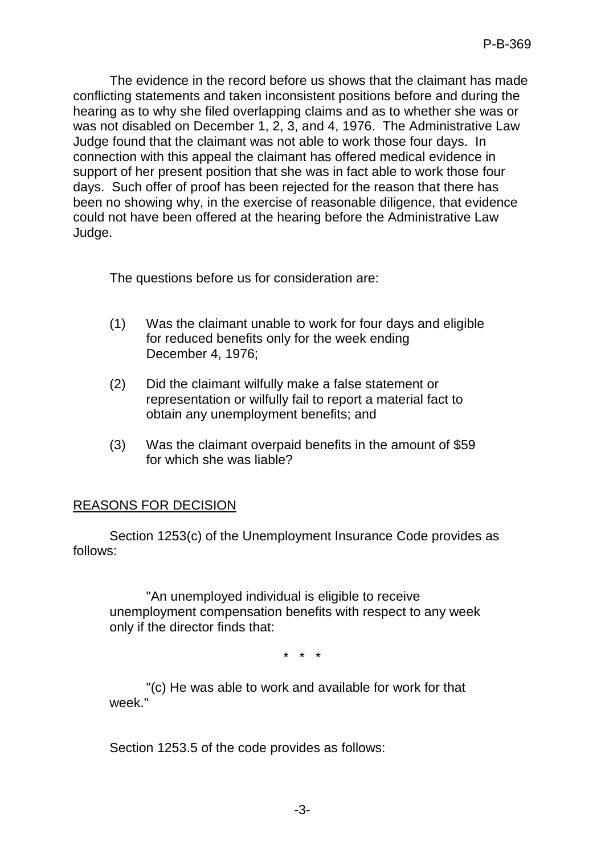The evidence in the record before us shows that the claimant has made conflicting statements and taken inconsistent positions before and during the hearing as to why she filed overlapping claims and as to whether she was or was not disabled on December 1, 2, 3, and 4, 1976. The Administrative Law Judge found that the claimant was not able to work those four days. In connection with this appeal the claimant has offered medical evidence in support of her present position that she was in fact able to work those four days. Such offer of proof has been rejected for the reason that there has been no showing why, in the exercise of reasonable diligence, that evidence could not have been offered at the hearing before the Administrative Law Judge.

The questions before us for consideration are:

- (1) Was the claimant unable to work for four days and eligible for reduced benefits only for the week ending December 4, 1976;
- (2) Did the claimant wilfully make a false statement or representation or wilfully fail to report a material fact to obtain any unemployment benefits; and
- (3) Was the claimant overpaid benefits in the amount of \$59 for which she was liable?

# REASONS FOR DECISION

Section 1253(c) of the Unemployment Insurance Code provides as follows:

"An unemployed individual is eligible to receive unemployment compensation benefits with respect to any week only if the director finds that:

\* \* \*

"(c) He was able to work and available for work for that week<sup>"</sup>

Section 1253.5 of the code provides as follows: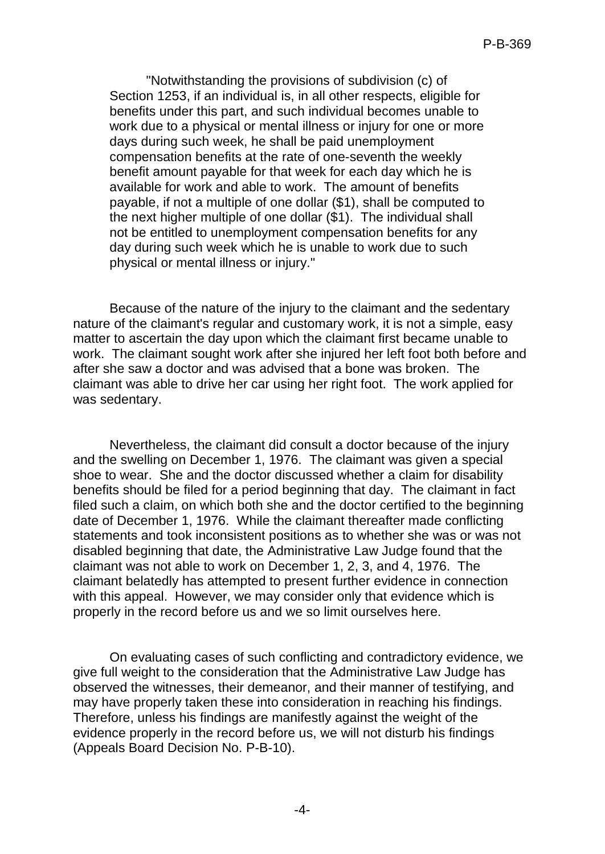"Notwithstanding the provisions of subdivision (c) of Section 1253, if an individual is, in all other respects, eligible for benefits under this part, and such individual becomes unable to work due to a physical or mental illness or injury for one or more days during such week, he shall be paid unemployment compensation benefits at the rate of one-seventh the weekly benefit amount payable for that week for each day which he is available for work and able to work. The amount of benefits payable, if not a multiple of one dollar (\$1), shall be computed to the next higher multiple of one dollar (\$1). The individual shall not be entitled to unemployment compensation benefits for any day during such week which he is unable to work due to such physical or mental illness or injury."

Because of the nature of the injury to the claimant and the sedentary nature of the claimant's regular and customary work, it is not a simple, easy matter to ascertain the day upon which the claimant first became unable to work. The claimant sought work after she injured her left foot both before and after she saw a doctor and was advised that a bone was broken. The claimant was able to drive her car using her right foot. The work applied for was sedentary.

Nevertheless, the claimant did consult a doctor because of the injury and the swelling on December 1, 1976. The claimant was given a special shoe to wear. She and the doctor discussed whether a claim for disability benefits should be filed for a period beginning that day. The claimant in fact filed such a claim, on which both she and the doctor certified to the beginning date of December 1, 1976. While the claimant thereafter made conflicting statements and took inconsistent positions as to whether she was or was not disabled beginning that date, the Administrative Law Judge found that the claimant was not able to work on December 1, 2, 3, and 4, 1976. The claimant belatedly has attempted to present further evidence in connection with this appeal. However, we may consider only that evidence which is properly in the record before us and we so limit ourselves here.

On evaluating cases of such conflicting and contradictory evidence, we give full weight to the consideration that the Administrative Law Judge has observed the witnesses, their demeanor, and their manner of testifying, and may have properly taken these into consideration in reaching his findings. Therefore, unless his findings are manifestly against the weight of the evidence properly in the record before us, we will not disturb his findings (Appeals Board Decision No. P-B-10).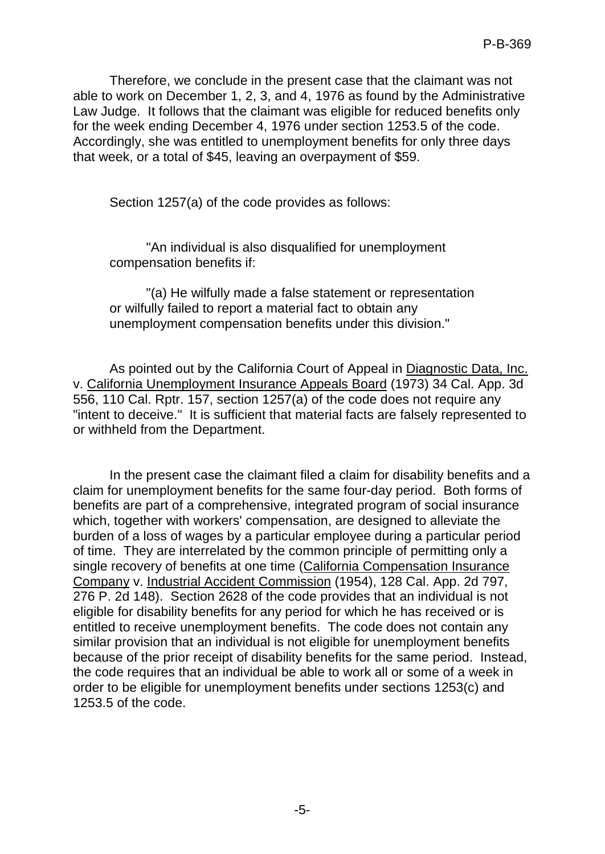Therefore, we conclude in the present case that the claimant was not able to work on December 1, 2, 3, and 4, 1976 as found by the Administrative Law Judge. It follows that the claimant was eligible for reduced benefits only for the week ending December 4, 1976 under section 1253.5 of the code. Accordingly, she was entitled to unemployment benefits for only three days that week, or a total of \$45, leaving an overpayment of \$59.

Section 1257(a) of the code provides as follows:

"An individual is also disqualified for unemployment compensation benefits if:

"(a) He wilfully made a false statement or representation or wilfully failed to report a material fact to obtain any unemployment compensation benefits under this division."

As pointed out by the California Court of Appeal in Diagnostic Data, Inc. v. California Unemployment Insurance Appeals Board (1973) 34 Cal. App. 3d 556, 110 Cal. Rptr. 157, section 1257(a) of the code does not require any "intent to deceive." It is sufficient that material facts are falsely represented to or withheld from the Department.

In the present case the claimant filed a claim for disability benefits and a claim for unemployment benefits for the same four-day period. Both forms of benefits are part of a comprehensive, integrated program of social insurance which, together with workers' compensation, are designed to alleviate the burden of a loss of wages by a particular employee during a particular period of time. They are interrelated by the common principle of permitting only a single recovery of benefits at one time (California Compensation Insurance Company v. Industrial Accident Commission (1954), 128 Cal. App. 2d 797, 276 P. 2d 148). Section 2628 of the code provides that an individual is not eligible for disability benefits for any period for which he has received or is entitled to receive unemployment benefits. The code does not contain any similar provision that an individual is not eligible for unemployment benefits because of the prior receipt of disability benefits for the same period. Instead, the code requires that an individual be able to work all or some of a week in order to be eligible for unemployment benefits under sections 1253(c) and 1253.5 of the code.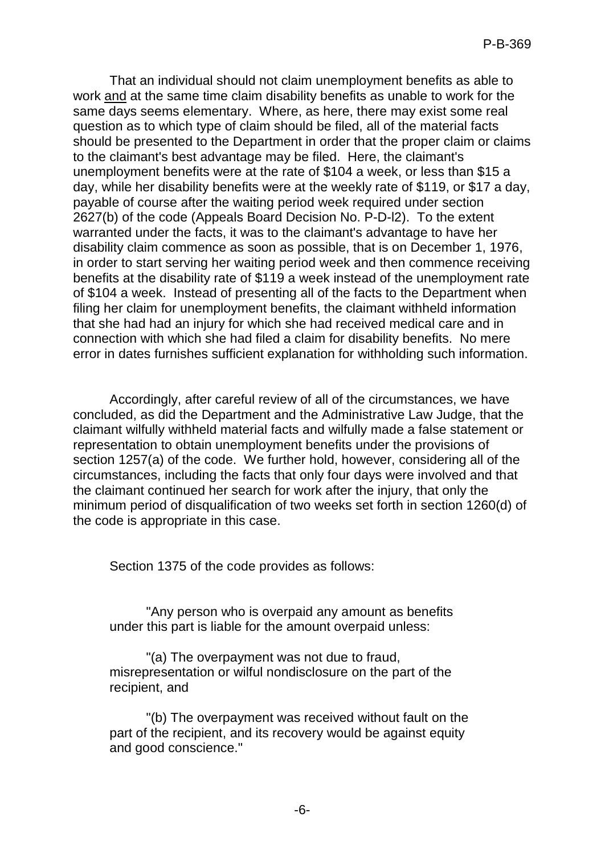That an individual should not claim unemployment benefits as able to work and at the same time claim disability benefits as unable to work for the same days seems elementary. Where, as here, there may exist some real question as to which type of claim should be filed, all of the material facts should be presented to the Department in order that the proper claim or claims to the claimant's best advantage may be filed. Here, the claimant's unemployment benefits were at the rate of \$104 a week, or less than \$15 a day, while her disability benefits were at the weekly rate of \$119, or \$17 a day, payable of course after the waiting period week required under section 2627(b) of the code (Appeals Board Decision No. P-D-l2). To the extent warranted under the facts, it was to the claimant's advantage to have her disability claim commence as soon as possible, that is on December 1, 1976, in order to start serving her waiting period week and then commence receiving benefits at the disability rate of \$119 a week instead of the unemployment rate of \$104 a week. Instead of presenting all of the facts to the Department when filing her claim for unemployment benefits, the claimant withheld information that she had had an injury for which she had received medical care and in connection with which she had filed a claim for disability benefits. No mere error in dates furnishes sufficient explanation for withholding such information.

Accordingly, after careful review of all of the circumstances, we have concluded, as did the Department and the Administrative Law Judge, that the claimant wilfully withheld material facts and wilfully made a false statement or representation to obtain unemployment benefits under the provisions of section 1257(a) of the code. We further hold, however, considering all of the circumstances, including the facts that only four days were involved and that the claimant continued her search for work after the injury, that only the minimum period of disqualification of two weeks set forth in section 1260(d) of the code is appropriate in this case.

Section 1375 of the code provides as follows:

"Any person who is overpaid any amount as benefits under this part is liable for the amount overpaid unless:

"(a) The overpayment was not due to fraud, misrepresentation or wilful nondisclosure on the part of the recipient, and

"(b) The overpayment was received without fault on the part of the recipient, and its recovery would be against equity and good conscience."